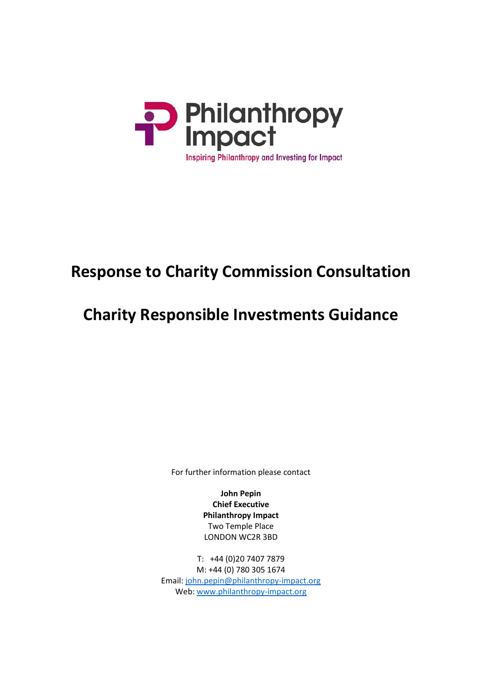

# **Response to Charity Commission Consultation**

# **Charity Responsible Investments Guidance**

For further information please contact

**John Pepin Chief Executive Philanthropy Impact** Two Temple Place LONDON WC2R 3BD

T: +44 (0)20 7407 7879 M: +44 (0) 780 305 1674 Email: [john.pepin@philanthropy-impact.org](mailto:john.pepin@philanthropy-impact.org) Web: [www.philanthropy-impact.org](http://www.philanthropy-impact.org/)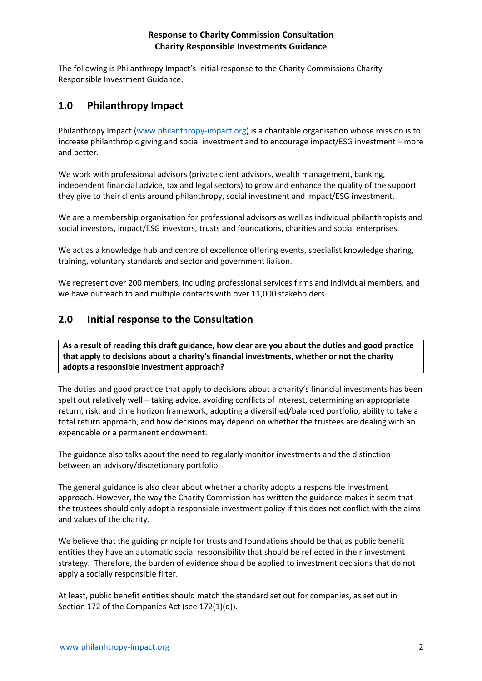The following is Philanthropy Impact's initial response to the Charity Commissions Charity Responsible Investment Guidance.

# **1.0 Philanthropy Impact**

Philanthropy Impact [\(www.philanthropy-impact.org\)](http://www.philanthropy-impact.org/) is a charitable organisation whose mission is to increase philanthropic giving and social investment and to encourage impact/ESG investment – more and better.

We work with professional advisors (private client advisors, wealth management, banking, independent financial advice, tax and legal sectors) to grow and enhance the quality of the support they give to their clients around philanthropy, social investment and impact/ESG investment.

We are a membership organisation for professional advisors as well as individual philanthropists and social investors, impact/ESG investors, trusts and foundations, charities and social enterprises.

We act as a knowledge hub and centre of excellence offering events, specialist knowledge sharing, training, voluntary standards and sector and government liaison.

We represent over 200 members, including professional services firms and individual members, and we have outreach to and multiple contacts with over 11,000 stakeholders.

# **2.0 Initial response to the Consultation**

**As a result of reading this draft guidance, how clear are you about the duties and good practice that apply to decisions about a charity's financial investments, whether or not the charity adopts a responsible investment approach?** 

The duties and good practice that apply to decisions about a charity's financial investments has been spelt out relatively well – taking advice, avoiding conflicts of interest, determining an appropriate return, risk, and time horizon framework, adopting a diversified/balanced portfolio, ability to take a total return approach, and how decisions may depend on whether the trustees are dealing with an expendable or a permanent endowment.

The guidance also talks about the need to regularly monitor investments and the distinction between an advisory/discretionary portfolio.

The general guidance is also clear about whether a charity adopts a responsible investment approach. However, the way the Charity Commission has written the guidance makes it seem that the trustees should only adopt a responsible investment policy if this does not conflict with the aims and values of the charity.

We believe that the guiding principle for trusts and foundations should be that as public benefit entities they have an automatic social responsibility that should be reflected in their investment strategy. Therefore, the burden of evidence should be applied to investment decisions that do not apply a socially responsible filter.

At least, public benefit entities should match the standard set out for companies, as set out in Section 172 of the Companies Act (see 172(1)(d)).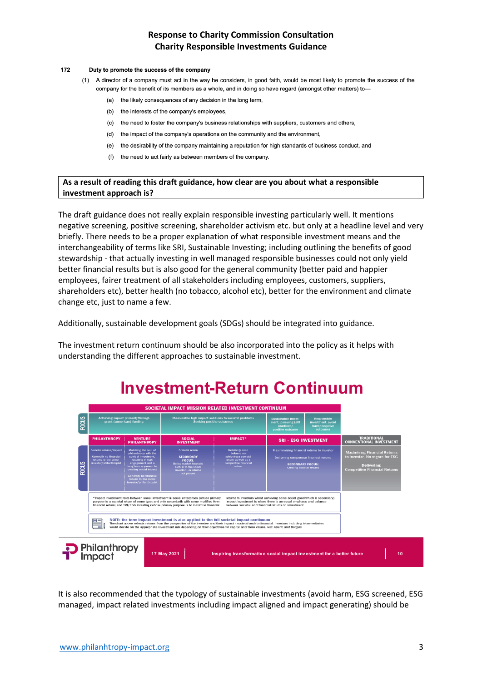#### 172 Duty to promote the success of the company

- (1) A director of a company must act in the way he considers, in good faith, would be most likely to promote the success of the company for the benefit of its members as a whole, and in doing so have regard (amongst other matters) to-
	- $(a)$ the likely consequences of any decision in the long term,
	- (b) the interests of the company's employees,
	- $(c)$ the need to foster the company's business relationships with suppliers, customers and others,
	- (d) the impact of the company's operations on the community and the environment,
	- the desirability of the company maintaining a reputation for high standards of business conduct, and  $(e)$
	- (f) the need to act fairly as between members of the company.

#### **As a result of reading this draft guidance, how clear are you about what a responsible investment approach is?**

The draft guidance does not really explain responsible investing particularly well. It mentions negative screening, positive screening, shareholder activism etc. but only at a headline level and very briefly. There needs to be a proper explanation of what responsible investment means and the interchangeability of terms like SRI, Sustainable Investing; including outlining the benefits of good stewardship - that actually investing in well managed responsible businesses could not only yield better financial results but is also good for the general community (better paid and happier employees, fairer treatment of all stakeholders including employees, customers, suppliers, shareholders etc), better health (no tobacco, alcohol etc), better for the environment and climate change etc, just to name a few.

Additionally, sustainable development goals (SDGs) should be integrated into guidance.

The investment return continuum should be also incorporated into the policy as it helps with understanding the different approaches to sustainable investment.



It is also recommended that the typology of sustainable investments (avoid harm, ESG screened, ESG managed, impact related investments including impact aligned and impact generating) should be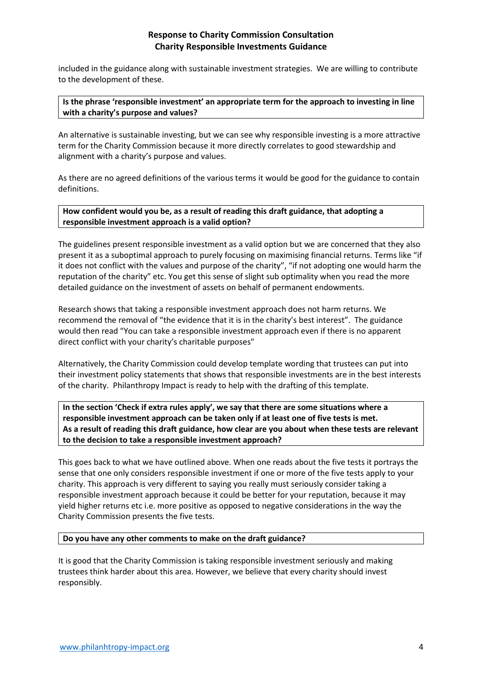included in the guidance along with sustainable investment strategies. We are willing to contribute to the development of these.

#### **Is the phrase 'responsible investment' an appropriate term for the approach to investing in line with a charity's purpose and values?**

An alternative is sustainable investing, but we can see why responsible investing is a more attractive term for the Charity Commission because it more directly correlates to good stewardship and alignment with a charity's purpose and values.

As there are no agreed definitions of the various terms it would be good for the guidance to contain definitions.

**How confident would you be, as a result of reading this draft guidance, that adopting a responsible investment approach is a valid option?** 

The guidelines present responsible investment as a valid option but we are concerned that they also present it as a suboptimal approach to purely focusing on maximising financial returns. Terms like "if it does not conflict with the values and purpose of the charity", "if not adopting one would harm the reputation of the charity" etc. You get this sense of slight sub optimality when you read the more detailed guidance on the investment of assets on behalf of permanent endowments.

Research shows that taking a responsible investment approach does not harm returns. We recommend the removal of "the evidence that it is in the charity's best interest". The guidance would then read "You can take a responsible investment approach even if there is no apparent direct conflict with your charity's charitable purposes"

Alternatively, the Charity Commission could develop template wording that trustees can put into their investment policy statements that shows that responsible investments are in the best interests of the charity. Philanthropy Impact is ready to help with the drafting of this template.

**In the section 'Check if extra rules apply', we say that there are some situations where a responsible investment approach can be taken only if at least one of five tests is met. As a result of reading this draft guidance, how clear are you about when these tests are relevant to the decision to take a responsible investment approach?** 

This goes back to what we have outlined above. When one reads about the five tests it portrays the sense that one only considers responsible investment if one or more of the five tests apply to your charity. This approach is very different to saying you really must seriously consider taking a responsible investment approach because it could be better for your reputation, because it may yield higher returns etc i.e. more positive as opposed to negative considerations in the way the Charity Commission presents the five tests.

#### **Do you have any other comments to make on the draft guidance?**

It is good that the Charity Commission is taking responsible investment seriously and making trustees think harder about this area. However, we believe that every charity should invest responsibly.